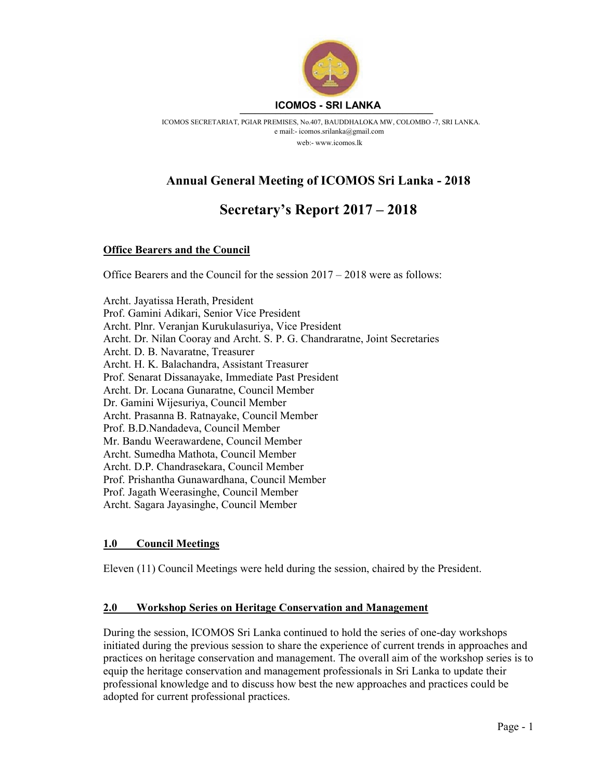

ICOMOS SECRETARIAT, PGIAR PREMISES, No.407, BAUDDHALOKA MW, COLOMBO -7, SRI LANKA. e mail:- icomos.srilanka@gmail.com web:- www.icomos.lk

# Annual General Meeting of ICOMOS Sri Lanka - 2018

# Secretary's Report 2017 – 2018

# Office Bearers and the Council

Office Bearers and the Council for the session 2017 – 2018 were as follows:

Archt. Jayatissa Herath, President Prof. Gamini Adikari, Senior Vice President Archt. Plnr. Veranjan Kurukulasuriya, Vice President Archt. Dr. Nilan Cooray and Archt. S. P. G. Chandraratne, Joint Secretaries Archt. D. B. Navaratne, Treasurer Archt. H. K. Balachandra, Assistant Treasurer Prof. Senarat Dissanayake, Immediate Past President Archt. Dr. Locana Gunaratne, Council Member Dr. Gamini Wijesuriya, Council Member Archt. Prasanna B. Ratnayake, Council Member Prof. B.D.Nandadeva, Council Member Mr. Bandu Weerawardene, Council Member Archt. Sumedha Mathota, Council Member Archt. D.P. Chandrasekara, Council Member Prof. Prishantha Gunawardhana, Council Member Prof. Jagath Weerasinghe, Council Member Archt. Sagara Jayasinghe, Council Member

# 1.0 Council Meetings

Eleven (11) Council Meetings were held during the session, chaired by the President.

## 2.0 Workshop Series on Heritage Conservation and Management

During the session, ICOMOS Sri Lanka continued to hold the series of one-day workshops initiated during the previous session to share the experience of current trends in approaches and practices on heritage conservation and management. The overall aim of the workshop series is to equip the heritage conservation and management professionals in Sri Lanka to update their professional knowledge and to discuss how best the new approaches and practices could be adopted for current professional practices.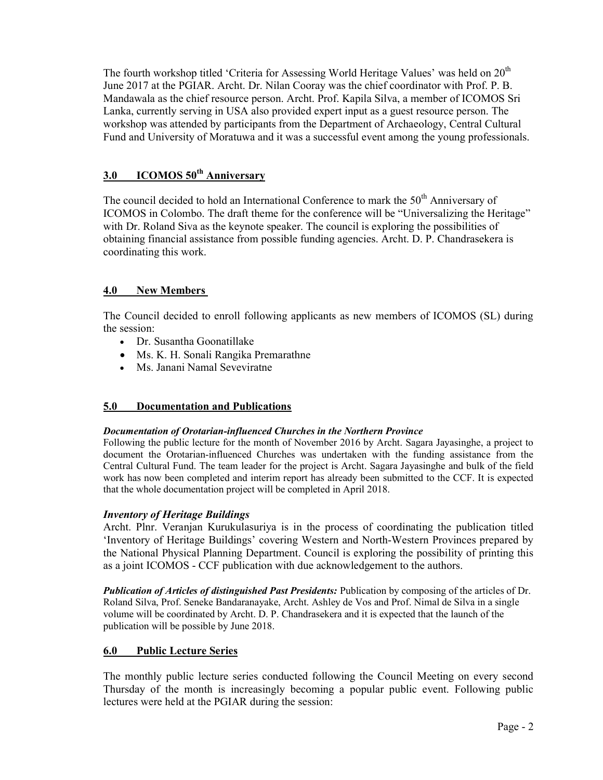The fourth workshop titled 'Criteria for Assessing World Heritage Values' was held on  $20<sup>th</sup>$ June 2017 at the PGIAR. Archt. Dr. Nilan Cooray was the chief coordinator with Prof. P. B. Mandawala as the chief resource person. Archt. Prof. Kapila Silva, a member of ICOMOS Sri Lanka, currently serving in USA also provided expert input as a guest resource person. The workshop was attended by participants from the Department of Archaeology, Central Cultural Fund and University of Moratuwa and it was a successful event among the young professionals.

# 3.0 ICOMOS 50<sup>th</sup> Anniversary

The council decided to hold an International Conference to mark the  $50<sup>th</sup>$  Anniversary of ICOMOS in Colombo. The draft theme for the conference will be "Universalizing the Heritage" with Dr. Roland Siva as the keynote speaker. The council is exploring the possibilities of obtaining financial assistance from possible funding agencies. Archt. D. P. Chandrasekera is coordinating this work.

# 4.0 New Members

The Council decided to enroll following applicants as new members of ICOMOS (SL) during the session:

- Dr. Susantha Goonatillake
- Ms. K. H. Sonali Rangika Premarathne
- Ms. Janani Namal Seveviratne

## 5.0 Documentation and Publications

#### Documentation of Orotarian-influenced Churches in the Northern Province

Following the public lecture for the month of November 2016 by Archt. Sagara Jayasinghe, a project to document the Orotarian-influenced Churches was undertaken with the funding assistance from the Central Cultural Fund. The team leader for the project is Archt. Sagara Jayasinghe and bulk of the field work has now been completed and interim report has already been submitted to the CCF. It is expected that the whole documentation project will be completed in April 2018.

## Inventory of Heritage Buildings

Archt. Plnr. Veranjan Kurukulasuriya is in the process of coordinating the publication titled 'Inventory of Heritage Buildings' covering Western and North-Western Provinces prepared by the National Physical Planning Department. Council is exploring the possibility of printing this as a joint ICOMOS - CCF publication with due acknowledgement to the authors.

Publication of Articles of distinguished Past Presidents: Publication by composing of the articles of Dr. Roland Silva, Prof. Seneke Bandaranayake, Archt. Ashley de Vos and Prof. Nimal de Silva in a single volume will be coordinated by Archt. D. P. Chandrasekera and it is expected that the launch of the publication will be possible by June 2018.

## 6.0 Public Lecture Series

The monthly public lecture series conducted following the Council Meeting on every second Thursday of the month is increasingly becoming a popular public event. Following public lectures were held at the PGIAR during the session: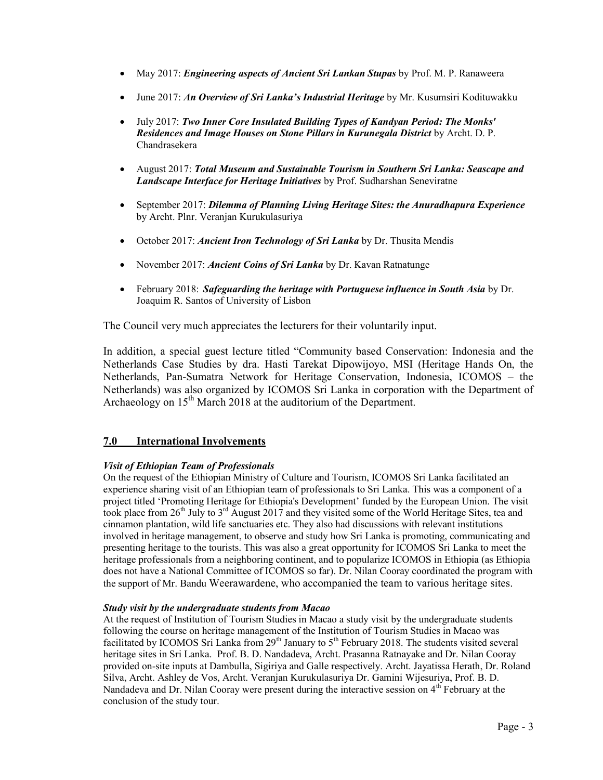- May 2017: *Engineering aspects of Ancient Sri Lankan Stupas* by Prof. M. P. Ranaweera
- June 2017: An Overview of Sri Lanka's Industrial Heritage by Mr. Kusumsiri Kodituwakku
- July 2017: Two Inner Core Insulated Building Types of Kandyan Period: The Monks' Residences and Image Houses on Stone Pillars in Kurunegala District by Archt. D. P. Chandrasekera
- August 2017: Total Museum and Sustainable Tourism in Southern Sri Lanka: Seascape and Landscape Interface for Heritage Initiatives by Prof. Sudharshan Seneviratne
- September 2017: Dilemma of Planning Living Heritage Sites: the Anuradhapura Experience by Archt. Plnr. Veranjan Kurukulasuriya
- October 2017: Ancient Iron Technology of Sri Lanka by Dr. Thusita Mendis
- November 2017: Ancient Coins of Sri Lanka by Dr. Kavan Ratnatunge
- $\bullet$  February 2018: Safeguarding the heritage with Portuguese influence in South Asia by Dr. Joaquim R. Santos of University of Lisbon

The Council very much appreciates the lecturers for their voluntarily input.

In addition, a special guest lecture titled "Community based Conservation: Indonesia and the Netherlands Case Studies by dra. Hasti Tarekat Dipowijoyo, MSI (Heritage Hands On, the Netherlands, Pan-Sumatra Network for Heritage Conservation, Indonesia, ICOMOS – the Netherlands) was also organized by ICOMOS Sri Lanka in corporation with the Department of Archaeology on  $15<sup>th</sup>$  March 2018 at the auditorium of the Department.

## 7.0 International Involvements

#### Visit of Ethiopian Team of Professionals

On the request of the Ethiopian Ministry of Culture and Tourism, ICOMOS Sri Lanka facilitated an experience sharing visit of an Ethiopian team of professionals to Sri Lanka. This was a component of a project titled 'Promoting Heritage for Ethiopia's Development' funded by the European Union. The visit took place from  $26<sup>th</sup>$  July to  $3<sup>rd</sup>$  August 2017 and they visited some of the World Heritage Sites, tea and cinnamon plantation, wild life sanctuaries etc. They also had discussions with relevant institutions involved in heritage management, to observe and study how Sri Lanka is promoting, communicating and presenting heritage to the tourists. This was also a great opportunity for ICOMOS Sri Lanka to meet the heritage professionals from a neighboring continent, and to popularize ICOMOS in Ethiopia (as Ethiopia does not have a National Committee of ICOMOS so far). Dr. Nilan Cooray coordinated the program with the support of Mr. Bandu Weerawardene, who accompanied the team to various heritage sites.

#### Study visit by the undergraduate students from Macao

At the request of Institution of Tourism Studies in Macao a study visit by the undergraduate students following the course on heritage management of the Institution of Tourism Studies in Macao was facilitated by ICOMOS Sri Lanka from 29<sup>th</sup> January to  $5<sup>th</sup>$  February 2018. The students visited several heritage sites in Sri Lanka. Prof. B. D. Nandadeva, Archt. Prasanna Ratnayake and Dr. Nilan Cooray provided on-site inputs at Dambulla, Sigiriya and Galle respectively. Archt. Jayatissa Herath, Dr. Roland Silva, Archt. Ashley de Vos, Archt. Veranjan Kurukulasuriya Dr. Gamini Wijesuriya, Prof. B. D. Nandadeva and Dr. Nilan Cooray were present during the interactive session on 4<sup>th</sup> February at the conclusion of the study tour.